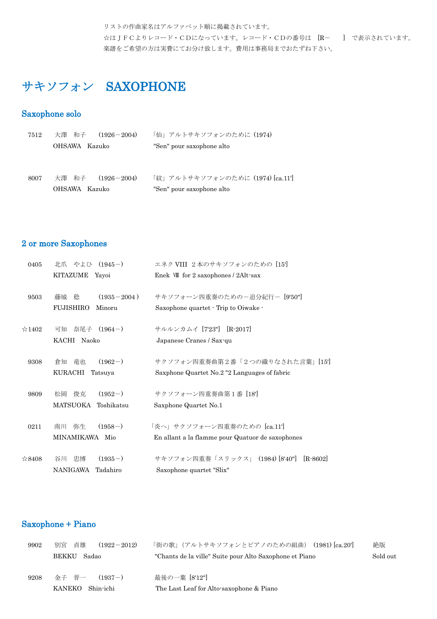リストの作曲家名はアルファベット順に掲載されています。 ☆はJFCよりレコード・CDになっています。レコード・CDの番号は [R- ] で表示されています。 楽譜をご希望の方は実費にてお分け致します。費用は事務局までおたずね下さい。

# サキソフォン SAXOPHONE

#### Saxophone solo

| 7512 | 大澤 和子<br>$(1926 - 2004)$ | 「仙」アルトサキソフォンのために (1974)          |
|------|--------------------------|----------------------------------|
|      | OHSAWA Kazuko            | "Sen" pour saxophone alto        |
|      |                          |                                  |
|      |                          |                                  |
| 8007 | 大澤 和子<br>$(1926 - 2004)$ | 「紋」アルトサキソフォンのために (1974) [ca.11'] |
|      | OHSAWA Kazuko            | "Sen" pour saxophone alto        |

#### 2 or more Saxophones

| 0405           | 北爪 やよひ (1945-)             | エネク VIII 2本のサキソフォンのための [15]                      |
|----------------|----------------------------|--------------------------------------------------|
|                | KITAZUME<br>Yayoi          | Enek VII for 2 saxophones / 2Alt-sax             |
| 9503           | $(1935 - 2004)$<br>稔<br>藤城 | サキソフォーン四重奏のためのー追分紀行ー [9'50"]                     |
|                | <b>FUJISHIRO</b><br>Minoru | Saxophone quartet · Trip to Oiwake ·             |
| $\approx$ 1402 | 奈尾子 (1964-)<br>可知          | サルルンカムイ [7'23"] [R-2017]                         |
|                | KACHI<br>Naoko             | Japanese Cranes / Sax-qu                         |
| 9308           | $(1962-)$<br>竜也<br>倉知      | サクソフォン四重奏曲第2番「2つの織りなされた言葉」[15]                   |
|                | KURACHI<br>Tatsuya         | Saxphone Quartet No.2 "2 Languages of fabric     |
| 9809           | 俊克<br>$(1952-)$<br>松岡      | サクソフォーン四重奏曲第1番 [18]                              |
|                | MATSUOKA<br>Toshikatsu     | Saxphone Quartet No.1                            |
| 0211           | $(1958-)$<br>弥生<br>南川      | 「炎へ」サクソフォーン四重奏のための [ca.11']                      |
|                | MINAMIKAWA Mio             | En allant a la flamme pour Quatuor de saxophones |
| $\approx 8408$ | $(1935-)$<br>忠博<br>谷川      | サキソフォン四重奏「スリックス」 (1984) [8'40"]<br>$[R-8602]$    |
|                | NANIGAWA<br>Tadahiro       | Saxophone quartet "Slix"                         |

## Saxophone + Piano

| 9902 | 貞雄<br>別宮<br>$(1922 - 2012)$ | 「街の歌」(アルトサキソフォンとピアノのための組曲) (1981) [ca.20']              | 絶版       |
|------|-----------------------------|---------------------------------------------------------|----------|
|      | <b>BEKKU</b><br>Sadao       | "Chants de la ville" Suite pour Alto Saxophone et Piano | Sold out |
|      |                             |                                                         |          |
| 9208 | 金子 晋一<br>$(1937-)$          | 最後の一葉 [8'12"]                                           |          |
|      | KANEKO<br>Shin-ichi         | The Last Leaf for Alto-saxophone & Piano                |          |